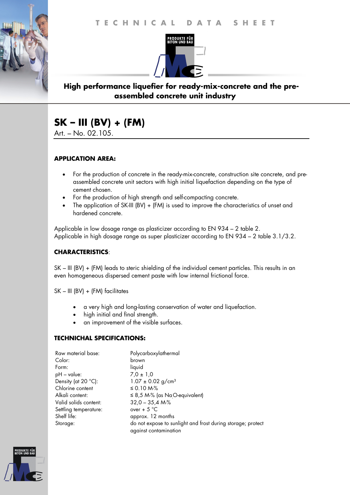



# **High performance liquefier for ready-mix-concrete and the preassembled concrete unit industry**

# **SK – III (BV) + (FM)**

Art. – No. 02.105.

#### **APPLICATION AREA:**

- For the production of concrete in the ready-mix-concrete, construction site concrete, and preassembled concrete unit sectors with high initial liquefaction depending on the type of cement chosen.
- For the production of high strength and self-compacting concrete.
- The application of SK-III (BV) + (FM) is used to improve the characteristics of unset and hardened concrete.

Applicable in low dosage range as plasticizer according to EN 934 – 2 table 2. Applicable in high dosage range as super plasticizer according to EN 934 – 2 table 3.1/3.2.

### **CHARACTERISTICS**:

SK – III (BV) + (FM) leads to steric shielding of the individual cement particles. This results in an even homogeneous dispersed cement paste with low internal frictional force.

SK – III (BV) + (FM) facilitates

- a very high and long-lasting conservation of water and liquefaction.
- high initial and final strength.
- an improvement of the visible surfaces.

#### **TECHNICHAL SPECIFICATIONS:**

| Raw material base:            | Polycarboxylathermal                                                                 |
|-------------------------------|--------------------------------------------------------------------------------------|
| Color:                        | brown                                                                                |
| Form:                         | liquid                                                                               |
| pH – value:                   | $7.0 \pm 1.0$                                                                        |
| Density (at 20 $^{\circ}$ C): | $1.07 \pm 0.02$ g/cm <sup>3</sup>                                                    |
| Chlorine content              | ≤ 0.10 M-%                                                                           |
| Alkali content:               | $\leq$ 8,5 M-% (as Na <sub>.</sub> O-equivalent)                                     |
| Valid solids content:         | $32,0 - 35,4 M\%$                                                                    |
| Settling temperature:         | over + $5^{\circ}$ C                                                                 |
| Shelf life:                   | approx. 12 months                                                                    |
| Storage:                      | do not expose to sunlight and frost during storage; protect<br>against contamination |